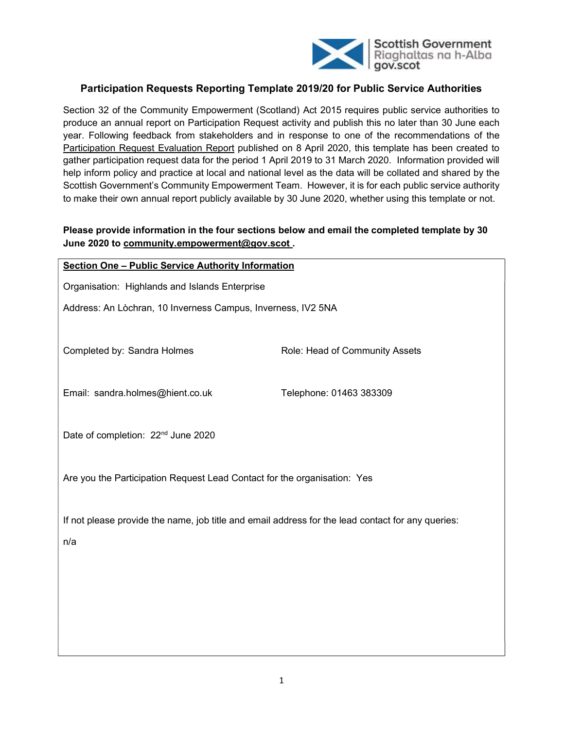

## Participation Requests Reporting Template 2019/20 for Public Service Authorities

Section 32 of the Community Empowerment (Scotland) Act 2015 requires public service authorities to produce an annual report on Participation Request activity and publish this no later than 30 June each year. Following feedback from stakeholders and in response to one of the recommendations of the Participation Request Evaluation Report published on 8 April 2020, this template has been created to gather participation request data for the period 1 April 2019 to 31 March 2020. Information provided will help inform policy and practice at local and national level as the data will be collated and shared by the Scottish Government's Community Empowerment Team. However, it is for each public service authority to make their own annual report publicly available by 30 June 2020, whether using this template or not.

### Please provide information in the four sections below and email the completed template by 30 June 2020 to community.empowerment@gov.scot .

| <b>Section One - Public Service Authority Information</b>                                                |                                |  |  |  |  |
|----------------------------------------------------------------------------------------------------------|--------------------------------|--|--|--|--|
| Organisation: Highlands and Islands Enterprise                                                           |                                |  |  |  |  |
| Address: An Lòchran, 10 Inverness Campus, Inverness, IV2 5NA                                             |                                |  |  |  |  |
| Completed by: Sandra Holmes                                                                              | Role: Head of Community Assets |  |  |  |  |
| Email: sandra.holmes@hient.co.uk                                                                         | Telephone: 01463 383309        |  |  |  |  |
| Date of completion: 22 <sup>nd</sup> June 2020                                                           |                                |  |  |  |  |
| Are you the Participation Request Lead Contact for the organisation: Yes                                 |                                |  |  |  |  |
| If not please provide the name, job title and email address for the lead contact for any queries:<br>n/a |                                |  |  |  |  |
|                                                                                                          |                                |  |  |  |  |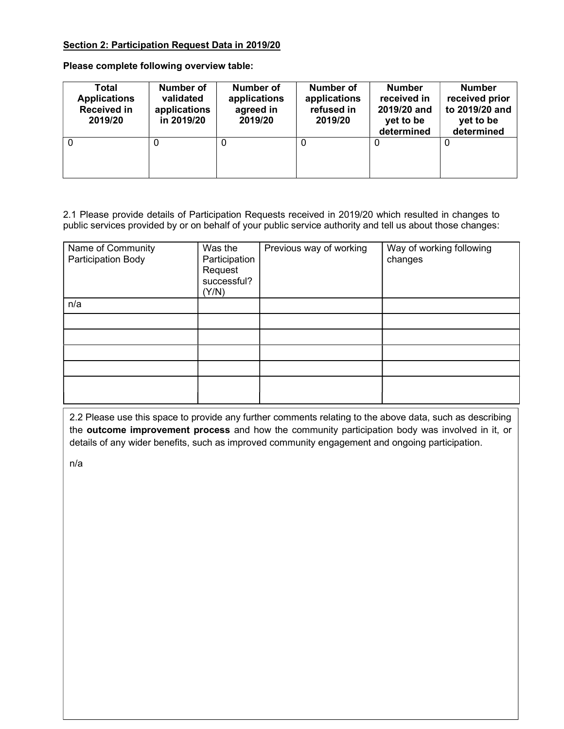#### Section 2: Participation Request Data in 2019/20

Please complete following overview table:

| Total<br><b>Applications</b><br><b>Received in</b><br>2019/20 | <b>Number of</b><br>validated<br>applications<br>in 2019/20 | Number of<br>applications<br>agreed in<br>2019/20 | Number of<br>applications<br>refused in<br>2019/20 | <b>Number</b><br>received in<br>2019/20 and<br>yet to be<br>determined | <b>Number</b><br>received prior<br>to 2019/20 and<br>yet to be<br>determined |
|---------------------------------------------------------------|-------------------------------------------------------------|---------------------------------------------------|----------------------------------------------------|------------------------------------------------------------------------|------------------------------------------------------------------------------|
| 0                                                             |                                                             | 0                                                 | 0                                                  | $\Omega$                                                               | 0                                                                            |

2.1 Please provide details of Participation Requests received in 2019/20 which resulted in changes to public services provided by or on behalf of your public service authority and tell us about those changes:

| Name of Community<br>Participation Body | Was the<br>Participation<br>Request<br>successful?<br>(Y/N) | Previous way of working | Way of working following<br>changes |
|-----------------------------------------|-------------------------------------------------------------|-------------------------|-------------------------------------|
| n/a                                     |                                                             |                         |                                     |
|                                         |                                                             |                         |                                     |
|                                         |                                                             |                         |                                     |
|                                         |                                                             |                         |                                     |
|                                         |                                                             |                         |                                     |
|                                         |                                                             |                         |                                     |

2.2 Please use this space to provide any further comments relating to the above data, such as describing the **outcome improvement process** and how the community participation body was involved in it, or details of any wider benefits, such as improved community engagement and ongoing participation.

n/a

 $\mathbb{I}$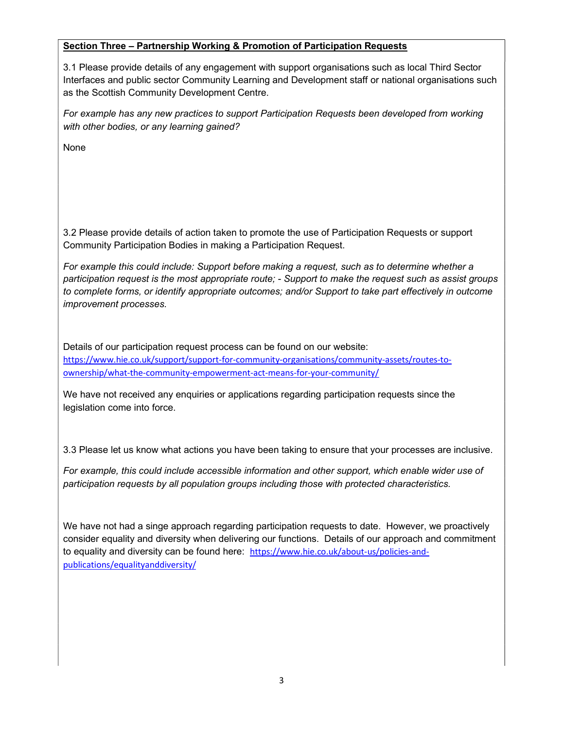#### Section Three – Partnership Working & Promotion of Participation Requests

3.1 Please provide details of any engagement with support organisations such as local Third Sector Interfaces and public sector Community Learning and Development staff or national organisations such as the Scottish Community Development Centre.

For example has any new practices to support Participation Requests been developed from working with other bodies, or any learning gained?

None

3.2 Please provide details of action taken to promote the use of Participation Requests or support Community Participation Bodies in making a Participation Request.

For example this could include: Support before making a request, such as to determine whether a participation request is the most appropriate route; - Support to make the request such as assist groups to complete forms, or identify appropriate outcomes; and/or Support to take part effectively in outcome improvement processes.

Details of our participation request process can be found on our website: https://www.hie.co.uk/support/support-for-community-organisations/community-assets/routes-toownership/what-the-community-empowerment-act-means-for-your-community/

We have not received any enquiries or applications regarding participation requests since the legislation come into force.

3.3 Please let us know what actions you have been taking to ensure that your processes are inclusive.

For example, this could include accessible information and other support, which enable wider use of participation requests by all population groups including those with protected characteristics.

We have not had a singe approach regarding participation requests to date. However, we proactively consider equality and diversity when delivering our functions. Details of our approach and commitment to equality and diversity can be found here: https://www.hie.co.uk/about-us/policies-andpublications/equalityanddiversity/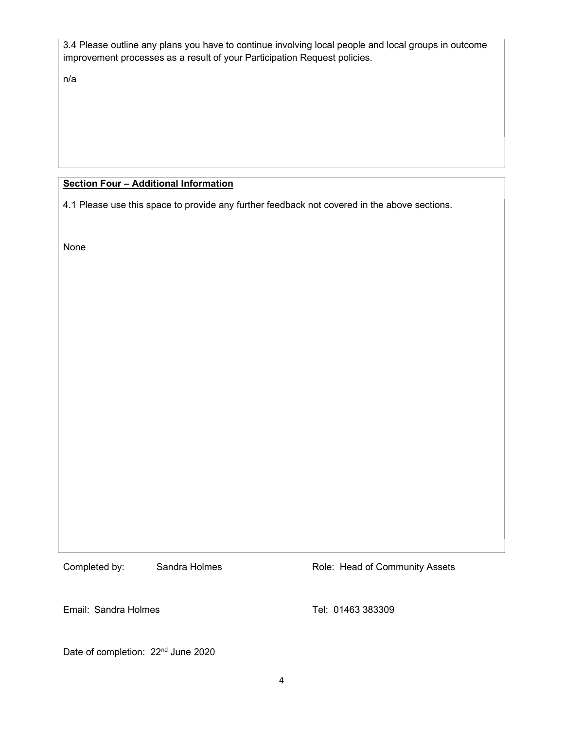3.4 Please outline any plans you have to continue involving local people and local groups in outcome improvement processes as a result of your Participation Request policies.

n/a

# Section Four - Additional Information

4.1 Please use this space to provide any further feedback not covered in the above sections.

None

Completed by: Sandra Holmes Role: Head of Community Assets

Email: Sandra Holmes Tel: 01463 383309

Date of completion: 22<sup>nd</sup> June 2020